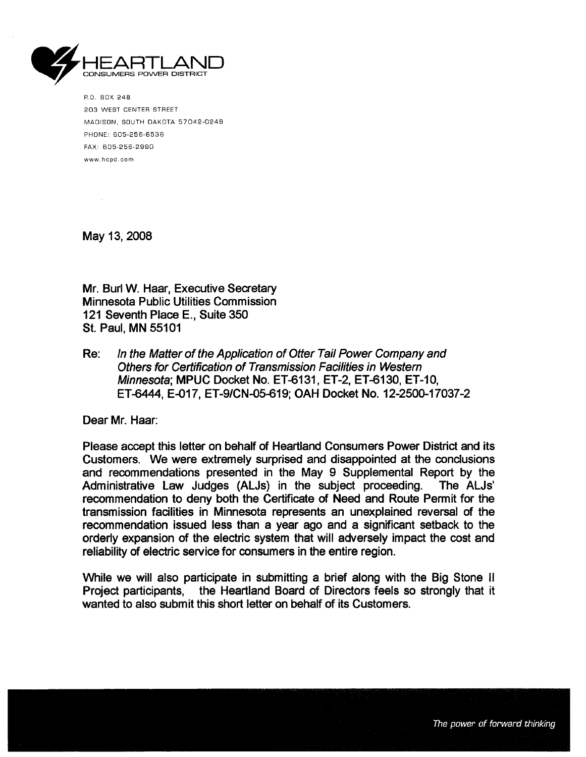

P. O. BOX 248 203 WEST CENTER STREET MADISON, SOUTH DAKOTA 57042-0248 PHONE: 605-256-6536 FAX: 605-256-2990 www.hcpd.cam

May 13, 2008

Mr. Burl W. Haar, Executive Secretary Minnesota Public Utilities Commission 121 Seventh Place E., Suite 350 St. Paul, MN 55101

Re: In the Matter of the Application of Otter Tail Power Company and Others for Certification of Transmission Facilties in Western Minnesota; MPUC Docket No. ET-6131, ET-2, ET-6130, ET-10, ET-6444, E-017, ET-9/CN-05-619; OAH Docket No. 12-2500-17037-2

Dear Mr. Haar:

Please accpt this letter on behalf of Heartland Consumers Power District and its Customers. We were extremely surprised and disappointed at the conclusions and recommendations presented in the May 9 Supplemental Report by the ALJs'<br>Administrative Law Judges (ALJs) in the subject proceeding. The ALJs' Administrative Law Judges (ALJs) in the subject proceeding. recommendation to deny both the Certificate of Need and Route Permit for the transmission facilities in Minnesota represents an unexplained reversal of the recommendation issued less than a year ago and a significant setback to the orderly expansion of the electric system that will adversely impact the cost and reliability of electric service for consumers in the entire region.

While we will also participate in submitting a brief along with the Big Stone II Project participants, the Heartland Board of Directors feels so strongly that it wanted to also submit this short letter on behalf of its Customers.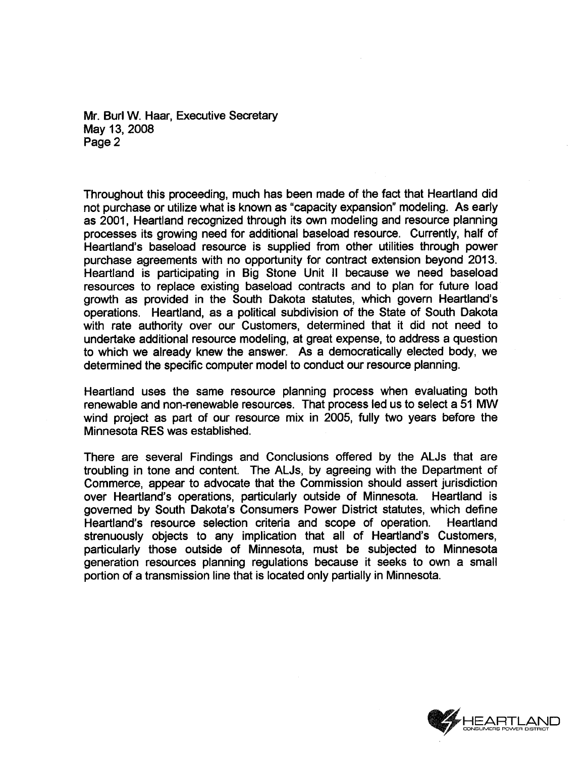Mr. Burl W. Haar, Executive Secretary May 13, 2008 Page 2

Throughout this proceeding, much has been made of the fact that Heartland did not purchase or utilize what is known as "capacity expansion" modeling. As early as 2001, Heartland recognized through its own modeling and resource planning processes its growing need for additional base load resource. Currently, half of Heartland's baseload resource is supplied from other utilties through power purchase agreements with no opportunity for contract extension beyond 2013. Heartland is participating in Big Stone Unit II because we need baseload resources to replace existing baseload contracts and to plan for future load growth as provided in the South Dakota statutes, which govern Heartland's operations. Heartland, as a political subdivision of the State of South Dakota with rate authority over our Customers, determined that it did not need to undertake additional resource modeling, at great expense, to address a question to which we already knew the answer. As a democratically elected body, we determined the specific computer model to conduct our resource planning.

Heartland uses the same resource planning process when evaluating both renewable and non-renewable resources. That process led us to select a 51 MW wind project as part of our resource mix in 2005, fully two years before the Minnesota RES was established.

There are several Findings and Conclusions offered by the ALJs that are troubling in tone and content. The ALJs, by agreeing with the Department of Commerce, appear to advocate that the Commission should assert jurisdiction over Heartland's operations, particularly outside of Minnesota. Heartland is governed by South Dakota's Consumers Power District statutes, which define Heartland's resource selection criteria and scope of operation. Heartland strenuously objects to any implication that all of Heartland's Customers, particularly those outside of Minnesota, must be subjected to Minnesota generation resources planning regulations because it seeks to own a small portion of a transmission line that is located only partially in Minnesota.